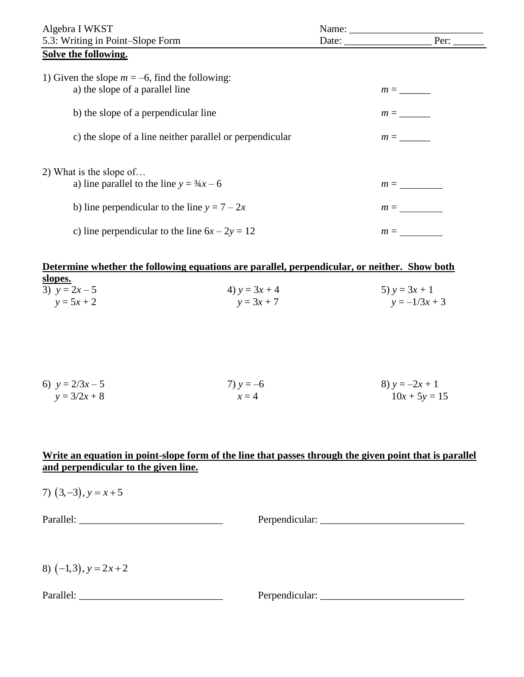| Algebra I WKST                                                                 | Name: $\frac{1}{\sqrt{1-\frac{1}{2}}\cdot\frac{1}{\sqrt{1-\frac{1}{2}}}}$ |       |
|--------------------------------------------------------------------------------|---------------------------------------------------------------------------|-------|
| 5.3: Writing in Point–Slope Form                                               | Date:                                                                     | Per:  |
| Solve the following.                                                           |                                                                           |       |
| 1) Given the slope $m = -6$ , find the following:                              |                                                                           |       |
| a) the slope of a parallel line                                                |                                                                           | $m =$ |
| b) the slope of a perpendicular line                                           |                                                                           | $m =$ |
| c) the slope of a line neither parallel or perpendicular                       |                                                                           | $m =$ |
| 2) What is the slope of<br>a) line parallel to the line $y = \frac{3}{4}x - 6$ |                                                                           | $m =$ |
|                                                                                |                                                                           |       |
| b) line perpendicular to the line $y = 7 - 2x$                                 |                                                                           | $m =$ |
| c) line perpendicular to the line $6x - 2y = 12$                               |                                                                           | $m =$ |

**Determine whether the following equations are parallel, perpendicular, or neither. Show both slopes.** 3)  $y = 2x - 5$  4)  $y = 3x + 4$  5)  $y = 3x + 1$  $y = 5x + 2$   $y = 3x + 7$   $y = -1/3x + 3$ 

| 6) $y = 2/3x - 5$ | 7) $y = -6$ | 8) $y = -2x + 1$ |
|-------------------|-------------|------------------|
| $y = 3/2x + 8$    | $x=4$       | $10x + 5y = 15$  |

## **Write an equation in point-slope form of the line that passes through the given point that is parallel and perpendicular to the given line.**

7)  $(3,-3)$ ,  $y = x+5$ 

Parallel: \_\_\_\_\_\_\_\_\_\_\_\_\_\_\_\_\_\_\_\_\_\_\_\_\_\_\_\_ Perpendicular: \_\_\_\_\_\_\_\_\_\_\_\_\_\_\_\_\_\_\_\_\_\_\_\_\_\_\_\_

8)  $(-1,3)$ ,  $y = 2x + 2$ 

Parallel: \_\_\_\_\_\_\_\_\_\_\_\_\_\_\_\_\_\_\_\_\_\_\_\_\_\_\_\_ Perpendicular: \_\_\_\_\_\_\_\_\_\_\_\_\_\_\_\_\_\_\_\_\_\_\_\_\_\_\_\_